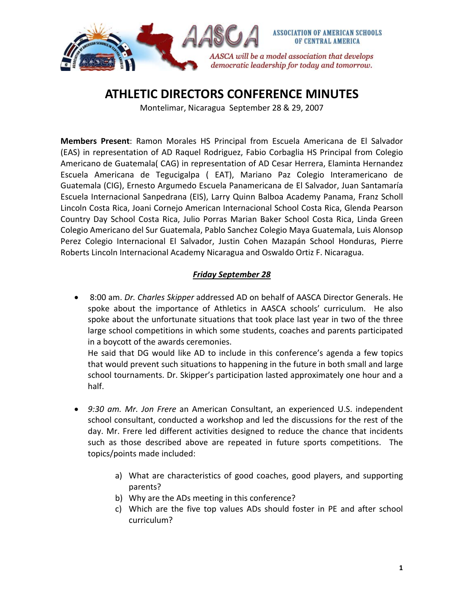

# **ATHLETIC DIRECTORS CONFERENCE MINUTES**

Montelimar, Nicaragua September 28 & 29, 2007

**Members Present**: Ramon Morales HS Principal from Escuela Americana de El Salvador (EAS) in representation of AD Raquel Rodriguez, Fabio Corbaglia HS Principal from Colegio Americano de Guatemala( CAG) in representation of AD Cesar Herrera, Elaminta Hernandez Escuela Americana de Tegucigalpa ( EAT), Mariano Paz Colegio Interamericano de Guatemala (CIG), Ernesto Argumedo Escuela Panamericana de El Salvador, Juan Santamaría Escuela Internacional Sanpedrana (EIS), Larry Quinn Balboa Academy Panama, Franz Scholl Lincoln Costa Rica, Joani Cornejo American Internacional School Costa Rica, Glenda Pearson Country Day School Costa Rica, Julio Porras Marian Baker School Costa Rica, Linda Green Colegio Americano del Sur Guatemala, Pablo Sanchez Colegio Maya Guatemala, Luis Alonsop Perez Colegio Internacional El Salvador, Justin Cohen Mazapán School Honduras, Pierre Roberts Lincoln Internacional Academy Nicaragua and Oswaldo Ortiz F. Nicaragua.

#### *Friday September 28*

• 8:00 am. *Dr. Charles Skipper* addressed AD on behalf of AASCA Director Generals. He spoke about the importance of Athletics in AASCA schools' curriculum. He also spoke about the unfortunate situations that took place last year in two of the three large school competitions in which some students, coaches and parents participated in a boycott of the awards ceremonies.

He said that DG would like AD to include in this conference's agenda a few topics that would prevent such situations to happening in the future in both small and large school tournaments. Dr. Skipper's participation lasted approximately one hour and a half.

- *9:30 am. Mr. Jon Frere* an American Consultant, an experienced U.S. independent school consultant, conducted a workshop and led the discussions for the rest of the day. Mr. Frere led different activities designed to reduce the chance that incidents such as those described above are repeated in future sports competitions. The topics/points made included:
	- a) What are characteristics of good coaches, good players, and supporting parents?
	- b) Why are the ADs meeting in this conference?
	- c) Which are the five top values ADs should foster in PE and after school curriculum?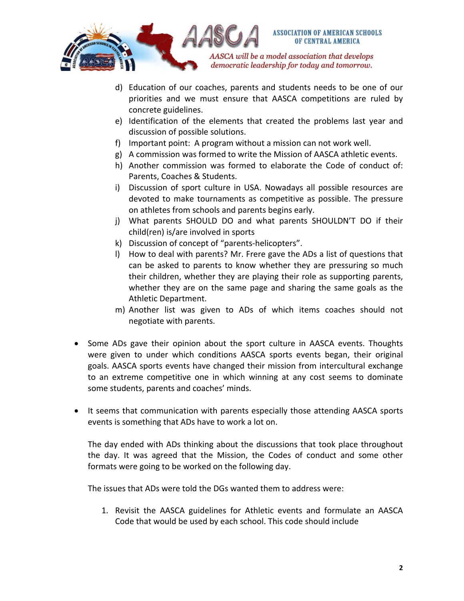

- d) Education of our coaches, parents and students needs to be one of our priorities and we must ensure that AASCA competitions are ruled by concrete guidelines.
- e) Identification of the elements that created the problems last year and discussion of possible solutions.
- f) Important point: A program without a mission can not work well.
- g) A commission was formed to write the Mission of AASCA athletic events.
- h) Another commission was formed to elaborate the Code of conduct of: Parents, Coaches & Students.
- i) Discussion of sport culture in USA. Nowadays all possible resources are devoted to make tournaments as competitive as possible. The pressure on athletes from schools and parents begins early.
- j) What parents SHOULD DO and what parents SHOULDN'T DO if their child(ren) is/are involved in sports
- k) Discussion of concept of "parents‐helicopters".
- l) How to deal with parents? Mr. Frere gave the ADs a list of questions that can be asked to parents to know whether they are pressuring so much their children, whether they are playing their role as supporting parents, whether they are on the same page and sharing the same goals as the Athletic Department.
- m) Another list was given to ADs of which items coaches should not negotiate with parents.
- Some ADs gave their opinion about the sport culture in AASCA events. Thoughts were given to under which conditions AASCA sports events began, their original goals. AASCA sports events have changed their mission from intercultural exchange to an extreme competitive one in which winning at any cost seems to dominate some students, parents and coaches' minds.
- It seems that communication with parents especially those attending AASCA sports events is something that ADs have to work a lot on.

The day ended with ADs thinking about the discussions that took place throughout the day. It was agreed that the Mission, the Codes of conduct and some other formats were going to be worked on the following day.

The issues that ADs were told the DGs wanted them to address were:

1. Revisit the AASCA guidelines for Athletic events and formulate an AASCA Code that would be used by each school. This code should include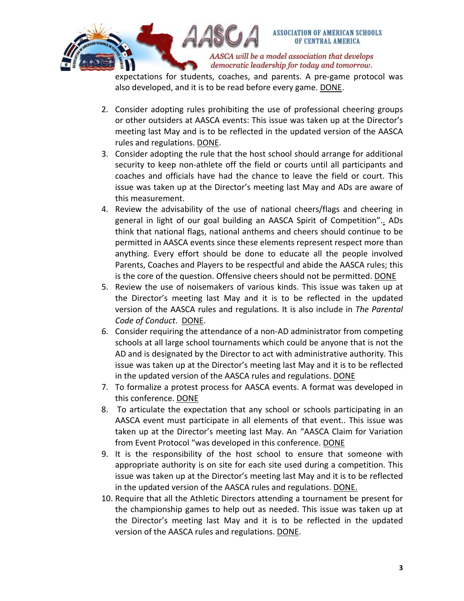

expectations for students, coaches, and parents. A pre‐game protocol was also developed, and it is to be read before every game. DONE.

- 2. Consider adopting rules prohibiting the use of professional cheering groups or other outsiders at AASCA events: This issue was taken up at the Director's meeting last May and is to be reflected in the updated version of the AASCA rules and regulations. DONE.
- 3. Consider adopting the rule that the host school should arrange for additional security to keep non-athlete off the field or courts until all participants and coaches and officials have had the chance to leave the field or court. This issue was taken up at the Director's meeting last May and ADs are aware of this measurement.
- 4. Review the advisability of the use of national cheers/flags and cheering in general in light of our goal building an AASCA Spirit of Competition".. ADs think that national flags, national anthems and cheers should continue to be permitted in AASCA events since these elements represent respect more than anything. Every effort should be done to educate all the people involved Parents, Coaches and Players to be respectful and abide the AASCA rules; this is the core of the question. Offensive cheers should not be permitted. DONE
- 5. Review the use of noisemakers of various kinds. This issue was taken up at the Director's meeting last May and it is to be reflected in the updated version of the AASCA rules and regulations. It is also include in *The Parental Code of Conduct*. DONE.
- 6. Consider requiring the attendance of a non‐AD administrator from competing schools at all large school tournaments which could be anyone that is not the AD and is designated by the Director to act with administrative authority. This issue was taken up at the Director's meeting last May and it is to be reflected in the updated version of the AASCA rules and regulations. DONE
- 7. To formalize a protest process for AASCA events. A format was developed in this conference. DONE
- 8. To articulate the expectation that any school or schools participating in an AASCA event must participate in all elements of that event.. This issue was taken up at the Director's meeting last May. An "AASCA Claim for Variation from Event Protocol "was developed in this conference. DONE
- 9. It is the responsibility of the host school to ensure that someone with appropriate authority is on site for each site used during a competition. This issue was taken up at the Director's meeting last May and it is to be reflected in the updated version of the AASCA rules and regulations. DONE.
- 10. Require that all the Athletic Directors attending a tournament be present for the championship games to help out as needed. This issue was taken up at the Director's meeting last May and it is to be reflected in the updated version of the AASCA rules and regulations. DONE.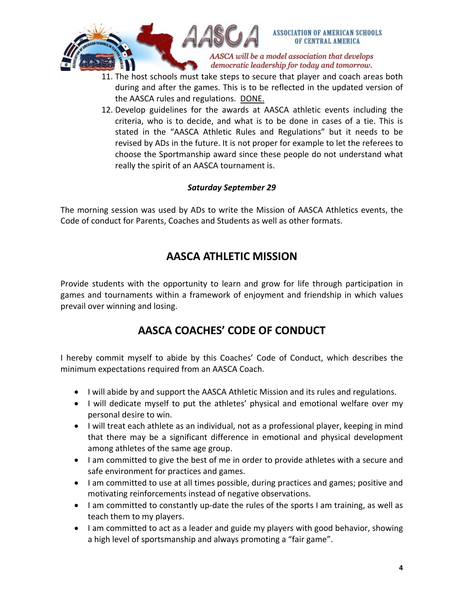

- 11. The host schools must take steps to secure that player and coach areas both during and after the games. This is to be reflected in the updated version of the AASCA rules and regulations. DONE.
- 12. Develop guidelines for the awards at AASCA athletic events including the criteria, who is to decide, and what is to be done in cases of a tie. This is stated in the "AASCA Athletic Rules and Regulations" but it needs to be revised by ADs in the future. It is not proper for example to let the referees to choose the Sportmanship award since these people do not understand what really the spirit of an AASCA tournament is.

#### *Saturday September 29*

The morning session was used by ADs to write the Mission of AASCA Athletics events, the Code of conduct for Parents, Coaches and Students as well as other formats.

### **AASCA ATHLETIC MISSION**

Provide students with the opportunity to learn and grow for life through participation in games and tournaments within a framework of enjoyment and friendship in which values prevail over winning and losing.

# **AASCA COACHES' CODE OF CONDUCT**

I hereby commit myself to abide by this Coaches' Code of Conduct, which describes the minimum expectations required from an AASCA Coach.

- I will abide by and support the AASCA Athletic Mission and its rules and regulations.
- I will dedicate myself to put the athletes' physical and emotional welfare over my personal desire to win.
- I will treat each athlete as an individual, not as a professional player, keeping in mind that there may be a significant difference in emotional and physical development among athletes of the same age group.
- I am committed to give the best of me in order to provide athletes with a secure and safe environment for practices and games.
- I am committed to use at all times possible, during practices and games; positive and motivating reinforcements instead of negative observations.
- I am committed to constantly up-date the rules of the sports I am training, as well as teach them to my players.
- I am committed to act as a leader and guide my players with good behavior, showing a high level of sportsmanship and always promoting a "fair game".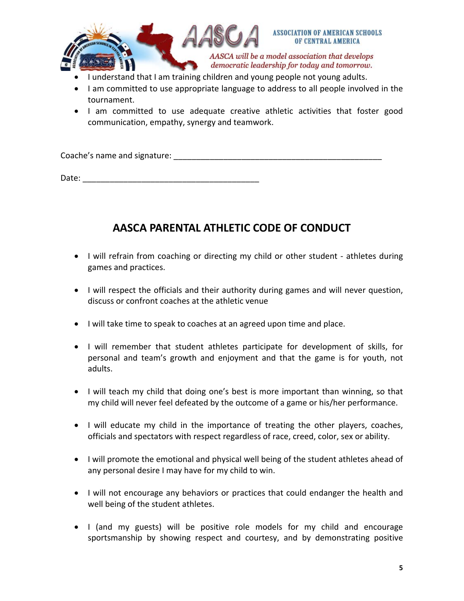

- I understand that I am training children and young people not young adults.
- I am committed to use appropriate language to address to all people involved in the tournament.
- I am committed to use adequate creative athletic activities that foster good communication, empathy, synergy and teamwork.

Coache's name and signature:  $\blacksquare$ 

Date: \_\_\_\_\_\_\_\_\_\_\_\_\_\_\_\_\_\_\_\_\_\_\_\_\_\_\_\_\_\_\_\_\_\_\_\_\_\_\_

# **AASCA PARENTAL ATHLETIC CODE OF CONDUCT**

- I will refrain from coaching or directing my child or other student athletes during games and practices.
- I will respect the officials and their authority during games and will never question, discuss or confront coaches at the athletic venue
- I will take time to speak to coaches at an agreed upon time and place.
- I will remember that student athletes participate for development of skills, for personal and team's growth and enjoyment and that the game is for youth, not adults.
- I will teach my child that doing one's best is more important than winning, so that my child will never feel defeated by the outcome of a game or his/her performance.
- I will educate my child in the importance of treating the other players, coaches, officials and spectators with respect regardless of race, creed, color, sex or ability.
- I will promote the emotional and physical well being of the student athletes ahead of any personal desire I may have for my child to win.
- I will not encourage any behaviors or practices that could endanger the health and well being of the student athletes.
- I (and my guests) will be positive role models for my child and encourage sportsmanship by showing respect and courtesy, and by demonstrating positive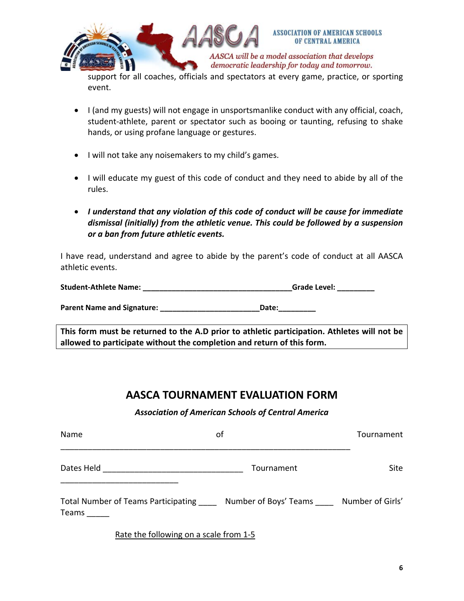

AASCA will be a model association that develops democratic leadership for today and tomorrow.

support for all coaches, officials and spectators at every game, practice, or sporting event.

- I (and my guests) will not engage in unsportsmanlike conduct with any official, coach, student-athlete, parent or spectator such as booing or taunting, refusing to shake hands, or using profane language or gestures.
- I will not take any noisemakers to my child's games.
- I will educate my guest of this code of conduct and they need to abide by all of the rules.
- *I understand that any violation of this code of conduct will be cause for immediate dismissal (initially) from the athletic venue. This could be followed by a suspension or a ban from future athletic events.*

I have read, understand and agree to abide by the parent's code of conduct at all AASCA athletic events.

| <b>Student-Athlete Name:</b> | <b>Grade Level:</b> |
|------------------------------|---------------------|
|                              |                     |

**Parent Name and Signature: \_\_\_\_\_\_\_\_\_\_\_\_\_\_\_\_\_\_\_\_\_\_\_\_Date:\_\_\_\_\_\_\_\_\_**

**This form must be returned to the A.D prior to athletic participation. Athletes will not be allowed to participate without the completion and return of this form.**

### **AASCA TOURNAMENT EVALUATION FORM**

#### *Association of American Schools of Central America*

| Name                                         | οf                                     | Tournament |
|----------------------------------------------|----------------------------------------|------------|
| Dates Held                                   | Tournament                             | Site :     |
| Total Number of Teams Participating<br>Teams | Number of Boys' Teams Number of Girls' |            |

Rate the following on a scale from 1‐5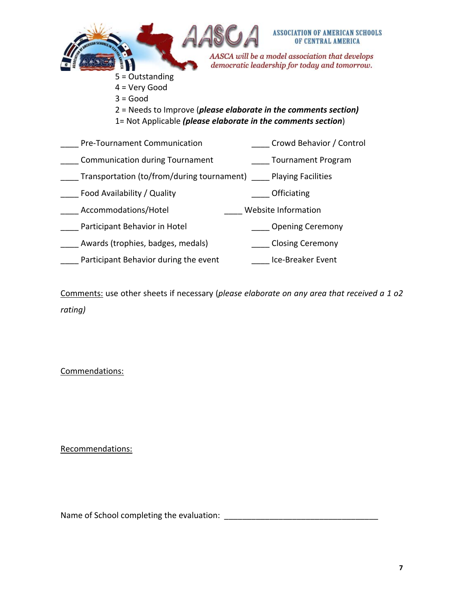

- 4 = Very Good
- $3 = Good$
- 2 = Needs to Improve (*please elaborate in the comments section)*
- 1= Not Applicable *(please elaborate in the comments section*)

| Pre-Tournament Communication                                        | Crowd Behavior / Control  |
|---------------------------------------------------------------------|---------------------------|
| <b>Communication during Tournament</b>                              | <b>Tournament Program</b> |
| Transportation (to/from/during tournament) _____ Playing Facilities |                           |
| Food Availability / Quality                                         | Officiating               |
| Accommodations/Hotel                                                | Website Information       |
| Participant Behavior in Hotel                                       | <b>Opening Ceremony</b>   |
| Awards (trophies, badges, medals)                                   | __ Closing Ceremony       |
| Participant Behavior during the event                               | Ice-Breaker Event         |

Comments: use other sheets if necessary (*please elaborate on any area that received a 1 o2 rating)*

Commendations:

Recommendations:

Name of School completing the evaluation: \_\_\_\_\_\_\_\_\_\_\_\_\_\_\_\_\_\_\_\_\_\_\_\_\_\_\_\_\_\_\_\_\_\_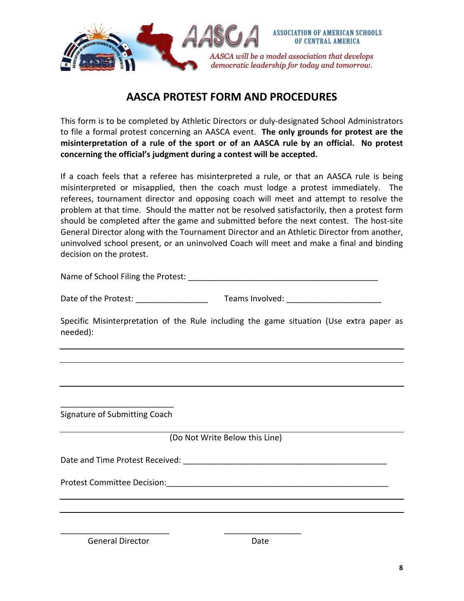

### **AASCA PROTEST FORM AND PROCEDURES**

This form is to be completed by Athletic Directors or duly‐designated School Administrators to file a formal protest concerning an AASCA event. **The only grounds for protest are the misinterpretation of a rule of the sport or of an AASCA rule by an official. No protest concerning the official's judgment during a contest will be accepted.** 

If a coach feels that a referee has misinterpreted a rule, or that an AASCA rule is being misinterpreted or misapplied, then the coach must lodge a protest immediately. The referees, tournament director and opposing coach will meet and attempt to resolve the problem at that time. Should the matter not be resolved satisfactorily, then a protest form should be completed after the game and submitted before the next contest. The host-site General Director along with the Tournament Director and an Athletic Director from another, uninvolved school present, or an uninvolved Coach will meet and make a final and binding decision on the protest.

| Name of School Filing the Protest: |  |
|------------------------------------|--|
|                                    |  |

| Date of the Protest: | Teams Involved: |
|----------------------|-----------------|
|                      |                 |

Specific Misinterpretation of the Rule including the game situation (Use extra paper as needed):

\_\_\_\_\_\_\_\_\_\_\_\_\_\_\_\_\_\_\_\_\_\_\_\_\_ Signature of Submitting Coach

(Do Not Write Below this Line)

Date and Time Protest Received: \_\_\_\_\_\_\_\_\_\_\_\_\_\_\_\_\_\_\_\_\_\_\_\_\_\_\_\_\_\_\_\_\_\_\_\_\_\_\_\_\_\_\_\_\_

Protest Committee Decision:\_\_\_\_\_\_\_\_\_\_\_\_\_\_\_\_\_\_\_\_\_\_\_\_\_\_\_\_\_\_\_\_\_\_\_\_\_\_\_\_\_\_\_\_\_\_\_\_\_

General Director **Contracts** Date

\_\_\_\_\_\_\_\_\_\_\_\_\_\_\_\_\_\_\_\_\_\_\_\_ \_\_\_\_\_\_\_\_\_\_\_\_\_\_\_\_\_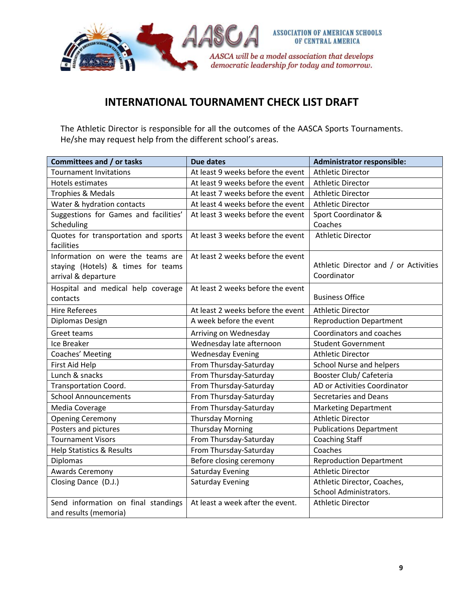

# **INTERNATIONAL TOURNAMENT CHECK LIST DRAFT**

The Athletic Director is responsible for all the outcomes of the AASCA Sports Tournaments. He/she may request help from the different school's areas.

| Committees and / or tasks             | <b>Due dates</b>                  | <b>Administrator responsible:</b>     |
|---------------------------------------|-----------------------------------|---------------------------------------|
| <b>Tournament Invitations</b>         | At least 9 weeks before the event | <b>Athletic Director</b>              |
| Hotels estimates                      | At least 9 weeks before the event | <b>Athletic Director</b>              |
| Trophies & Medals                     | At least 7 weeks before the event | <b>Athletic Director</b>              |
| Water & hydration contacts            | At least 4 weeks before the event | <b>Athletic Director</b>              |
| Suggestions for Games and facilities' | At least 3 weeks before the event | Sport Coordinator &                   |
| Scheduling                            |                                   | Coaches                               |
| Quotes for transportation and sports  | At least 3 weeks before the event | <b>Athletic Director</b>              |
| facilities                            |                                   |                                       |
| Information on were the teams are     | At least 2 weeks before the event |                                       |
| staying (Hotels) & times for teams    |                                   | Athletic Director and / or Activities |
| arrival & departure                   |                                   | Coordinator                           |
| Hospital and medical help coverage    | At least 2 weeks before the event |                                       |
| contacts                              |                                   | <b>Business Office</b>                |
| <b>Hire Referees</b>                  | At least 2 weeks before the event | <b>Athletic Director</b>              |
| Diplomas Design                       | A week before the event           | <b>Reproduction Department</b>        |
| Greet teams                           | Arriving on Wednesday             | Coordinators and coaches              |
| Ice Breaker                           | Wednesday late afternoon          | <b>Student Government</b>             |
| Coaches' Meeting                      | <b>Wednesday Evening</b>          | <b>Athletic Director</b>              |
| First Aid Help                        | From Thursday-Saturday            | School Nurse and helpers              |
| Lunch & snacks                        | From Thursday-Saturday            | Booster Club/ Cafeteria               |
| <b>Transportation Coord.</b>          | From Thursday-Saturday            | AD or Activities Coordinator          |
| <b>School Announcements</b>           | From Thursday-Saturday            | <b>Secretaries and Deans</b>          |
| Media Coverage                        | From Thursday-Saturday            | <b>Marketing Department</b>           |
| <b>Opening Ceremony</b>               | <b>Thursday Morning</b>           | <b>Athletic Director</b>              |
| Posters and pictures                  | <b>Thursday Morning</b>           | <b>Publications Department</b>        |
| <b>Tournament Visors</b>              | From Thursday-Saturday            | <b>Coaching Staff</b>                 |
| Help Statistics & Results             | From Thursday-Saturday            | Coaches                               |
| Diplomas                              | Before closing ceremony           | <b>Reproduction Department</b>        |
| <b>Awards Ceremony</b>                | <b>Saturday Evening</b>           | <b>Athletic Director</b>              |
| Closing Dance (D.J.)                  | <b>Saturday Evening</b>           | Athletic Director, Coaches,           |
|                                       |                                   | School Administrators.                |
| Send information on final standings   | At least a week after the event.  | <b>Athletic Director</b>              |
| and results (memoria)                 |                                   |                                       |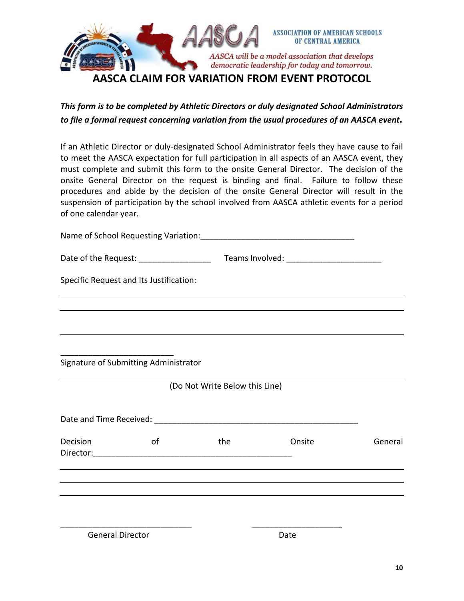

### *This form is to be completed by Athletic Directors or duly designated School Administrators to file a formal request concerning variation from the usual procedures of an AASCA event.*

If an Athletic Director or duly‐designated School Administrator feels they have cause to fail to meet the AASCA expectation for full participation in all aspects of an AASCA event, they must complete and submit this form to the onsite General Director. The decision of the onsite General Director on the request is binding and final. Failure to follow these procedures and abide by the decision of the onsite General Director will result in the suspension of participation by the school involved from AASCA athletic events for a period of one calendar year.

Name of School Requesting Variation:

| Date of the Request: | Teams Involved: |
|----------------------|-----------------|
|                      |                 |

Specific Request and Its Justification:

\_\_\_\_\_\_\_\_\_\_\_\_\_\_\_\_\_\_\_\_\_\_\_\_\_ Signature of Submitting Administrator

(Do Not Write Below this Line)

| Date and Time Received: Name of the Second State and Time Received: |    |     |        |         |
|---------------------------------------------------------------------|----|-----|--------|---------|
| Decision<br>Director:                                               | οf | the | Onsite | General |
|                                                                     |    |     |        |         |

\_\_\_\_\_\_\_\_\_\_\_\_\_\_\_\_\_\_\_\_\_\_\_\_\_\_\_\_\_ \_\_\_\_\_\_\_\_\_\_\_\_\_\_\_\_\_\_\_\_ General Director **Date**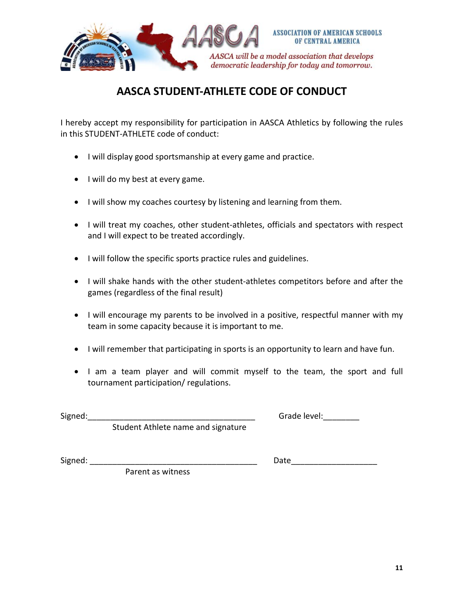

# **AASCA STUDENT‐ATHLETE CODE OF CONDUCT**

I hereby accept my responsibility for participation in AASCA Athletics by following the rules in this STUDENT‐ATHLETE code of conduct:

- I will display good sportsmanship at every game and practice.
- I will do my best at every game.
- I will show my coaches courtesy by listening and learning from them.
- I will treat my coaches, other student‐athletes, officials and spectators with respect and I will expect to be treated accordingly.
- I will follow the specific sports practice rules and guidelines.
- I will shake hands with the other student‐athletes competitors before and after the games (regardless of the final result)
- I will encourage my parents to be involved in a positive, respectful manner with my team in some capacity because it is important to me.
- I will remember that participating in sports is an opportunity to learn and have fun.
- I am a team player and will commit myself to the team, the sport and full tournament participation/ regulations.

Signed:\_\_\_\_\_\_\_\_\_\_\_\_\_\_\_\_\_\_\_\_\_\_\_\_\_\_\_\_\_\_\_\_\_\_\_\_\_ Grade level:\_\_\_\_\_\_\_\_

Student Athlete name and signature

Signed: \_\_\_\_\_\_\_\_\_\_\_\_\_\_\_\_\_\_\_\_\_\_\_\_\_\_\_\_\_\_\_\_\_\_\_\_\_ Date\_\_\_\_\_\_\_\_\_\_\_\_\_\_\_\_\_\_\_

Parent as witness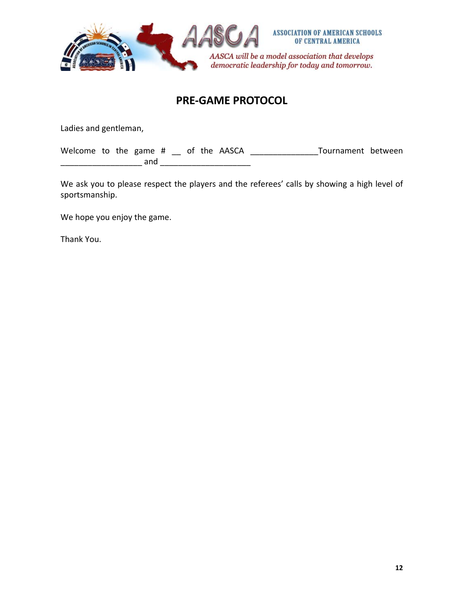

### **PRE‐GAME PROTOCOL**

Ladies and gentleman,

Welcome to the game # \_\_ of the AASCA \_\_\_\_\_\_\_\_\_\_\_\_\_\_\_\_Tournament between \_\_\_\_\_\_\_\_\_\_\_\_\_\_\_\_\_\_ and \_\_\_\_\_\_\_\_\_\_\_\_\_\_\_\_\_\_\_\_

We ask you to please respect the players and the referees' calls by showing a high level of sportsmanship.

We hope you enjoy the game.

Thank You.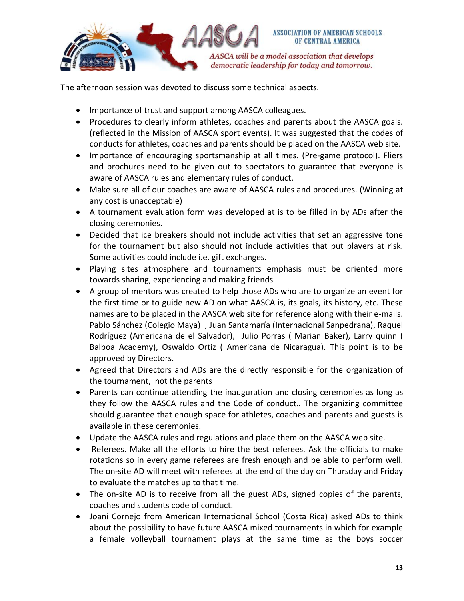

The afternoon session was devoted to discuss some technical aspects.

- Importance of trust and support among AASCA colleagues.
- Procedures to clearly inform athletes, coaches and parents about the AASCA goals. (reflected in the Mission of AASCA sport events). It was suggested that the codes of conducts for athletes, coaches and parents should be placed on the AASCA web site.
- Importance of encouraging sportsmanship at all times. (Pre-game protocol). Fliers and brochures need to be given out to spectators to guarantee that everyone is aware of AASCA rules and elementary rules of conduct.
- Make sure all of our coaches are aware of AASCA rules and procedures. (Winning at any cost is unacceptable)
- A tournament evaluation form was developed at is to be filled in by ADs after the closing ceremonies.
- Decided that ice breakers should not include activities that set an aggressive tone for the tournament but also should not include activities that put players at risk. Some activities could include i.e. gift exchanges.
- Playing sites atmosphere and tournaments emphasis must be oriented more towards sharing, experiencing and making friends
- A group of mentors was created to help those ADs who are to organize an event for the first time or to guide new AD on what AASCA is, its goals, its history, etc. These names are to be placed in the AASCA web site for reference along with their e‐mails. Pablo Sánchez (Colegio Maya) , Juan Santamaría (Internacional Sanpedrana), Raquel Rodríguez (Americana de el Salvador), Julio Porras ( Marian Baker), Larry quinn ( Balboa Academy), Oswaldo Ortiz ( Americana de Nicaragua). This point is to be approved by Directors.
- Agreed that Directors and ADs are the directly responsible for the organization of the tournament, not the parents
- Parents can continue attending the inauguration and closing ceremonies as long as they follow the AASCA rules and the Code of conduct.. The organizing committee should guarantee that enough space for athletes, coaches and parents and guests is available in these ceremonies.
- Update the AASCA rules and regulations and place them on the AASCA web site.
- Referees. Make all the efforts to hire the best referees. Ask the officials to make rotations so in every game referees are fresh enough and be able to perform well. The on-site AD will meet with referees at the end of the day on Thursday and Friday to evaluate the matches up to that time.
- The on-site AD is to receive from all the guest ADs, signed copies of the parents, coaches and students code of conduct.
- Joani Cornejo from American International School (Costa Rica) asked ADs to think about the possibility to have future AASCA mixed tournaments in which for example a female volleyball tournament plays at the same time as the boys soccer